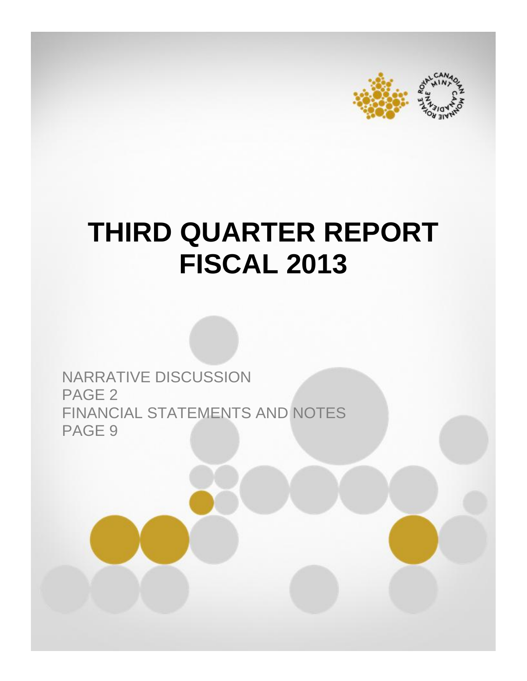

# **THIRD QUARTER REPORT FISCAL 2013**

NARRATIVE DISCUSSION PAGE 2 FINANCIAL STATEMENTS AND NOTES PAGE 9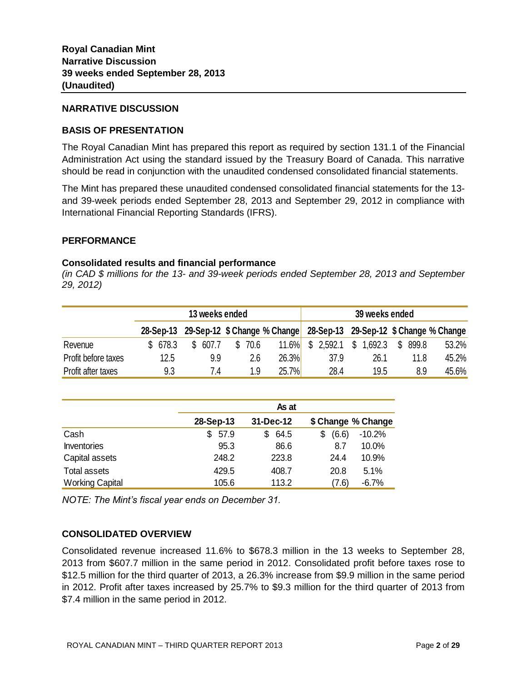#### **NARRATIVE DISCUSSION**

# **BASIS OF PRESENTATION**

The Royal Canadian Mint has prepared this report as required by section 131.1 of the Financial Administration Act using the standard issued by the Treasury Board of Canada. This narrative should be read in conjunction with the unaudited condensed consolidated financial statements.

The Mint has prepared these unaudited condensed consolidated financial statements for the 13 and 39-week periods ended September 28, 2013 and September 29, 2012 in compliance with International Financial Reporting Standards (IFRS).

#### **PERFORMANCE**

# **Consolidated results and financial performance**

*(in CAD \$ millions for the 13- and 39-week periods ended September 28, 2013 and September 29, 2012)*

|                     |         | 13 weeks ended |                 | 39 weeks ended                                                                |
|---------------------|---------|----------------|-----------------|-------------------------------------------------------------------------------|
|                     |         |                |                 | 28-Sep-13 29-Sep-12 \$ Change % Change 28-Sep-13 29-Sep-12 \$ Change % Change |
| Revenue             | \$678.3 | S.<br>607.7    | 11.6%<br>\$70.6 | \$2,592.1<br>- \$<br>1,692.3<br>S.<br>899.8<br>53.2%                          |
| Profit before taxes | 12.5    | 9.9            | 26.3%<br>2.6    | 45.2%<br>26.1<br>37.9<br>11.8                                                 |
| Profit after taxes  | 9.3     | 7.4            | 25.7%<br>1.9    | 28.4<br>45.6%<br>8.9<br>19.5                                                  |

|                        |             | As at     |                        |  |
|------------------------|-------------|-----------|------------------------|--|
|                        | 28-Sep-13   | 31-Dec-12 | \$ Change % Change     |  |
| Cash                   | 57.9<br>\$. | 64.5<br>S | $-10.2%$<br>(6.6)<br>S |  |
| <b>Inventories</b>     | 95.3        | 86.6      | 10.0%<br>8.7           |  |
| Capital assets         | 248.2       | 223.8     | 10.9%<br>24.4          |  |
| Total assets           | 429.5       | 408.7     | 5.1%<br>20.8           |  |
| <b>Working Capital</b> | 105.6       | 113.2     | (7.6)<br>$-6.7%$       |  |

*NOTE: The Mint's fiscal year ends on December 31.* 

#### **CONSOLIDATED OVERVIEW**

Consolidated revenue increased 11.6% to \$678.3 million in the 13 weeks to September 28, 2013 from \$607.7 million in the same period in 2012. Consolidated profit before taxes rose to \$12.5 million for the third quarter of 2013, a 26.3% increase from \$9.9 million in the same period in 2012. Profit after taxes increased by 25.7% to \$9.3 million for the third quarter of 2013 from \$7.4 million in the same period in 2012.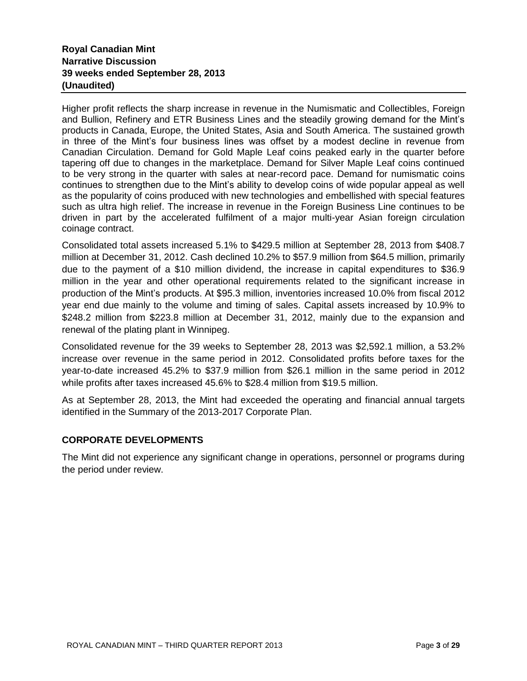# **Royal Canadian Mint Narrative Discussion 39 weeks ended September 28, 2013 (Unaudited)**

Higher profit reflects the sharp increase in revenue in the Numismatic and Collectibles, Foreign and Bullion, Refinery and ETR Business Lines and the steadily growing demand for the Mint's products in Canada, Europe, the United States, Asia and South America. The sustained growth in three of the Mint's four business lines was offset by a modest decline in revenue from Canadian Circulation. Demand for Gold Maple Leaf coins peaked early in the quarter before tapering off due to changes in the marketplace. Demand for Silver Maple Leaf coins continued to be very strong in the quarter with sales at near-record pace. Demand for numismatic coins continues to strengthen due to the Mint's ability to develop coins of wide popular appeal as well as the popularity of coins produced with new technologies and embellished with special features such as ultra high relief. The increase in revenue in the Foreign Business Line continues to be driven in part by the accelerated fulfilment of a major multi-year Asian foreign circulation coinage contract.

Consolidated total assets increased 5.1% to \$429.5 million at September 28, 2013 from \$408.7 million at December 31, 2012. Cash declined 10.2% to \$57.9 million from \$64.5 million, primarily due to the payment of a \$10 million dividend, the increase in capital expenditures to \$36.9 million in the year and other operational requirements related to the significant increase in production of the Mint's products. At \$95.3 million, inventories increased 10.0% from fiscal 2012 year end due mainly to the volume and timing of sales. Capital assets increased by 10.9% to \$248.2 million from \$223.8 million at December 31, 2012, mainly due to the expansion and renewal of the plating plant in Winnipeg.

Consolidated revenue for the 39 weeks to September 28, 2013 was \$2,592.1 million, a 53.2% increase over revenue in the same period in 2012. Consolidated profits before taxes for the year-to-date increased 45.2% to \$37.9 million from \$26.1 million in the same period in 2012 while profits after taxes increased 45.6% to \$28.4 million from \$19.5 million.

As at September 28, 2013, the Mint had exceeded the operating and financial annual targets identified in the Summary of the 2013-2017 Corporate Plan.

# **CORPORATE DEVELOPMENTS**

The Mint did not experience any significant change in operations, personnel or programs during the period under review.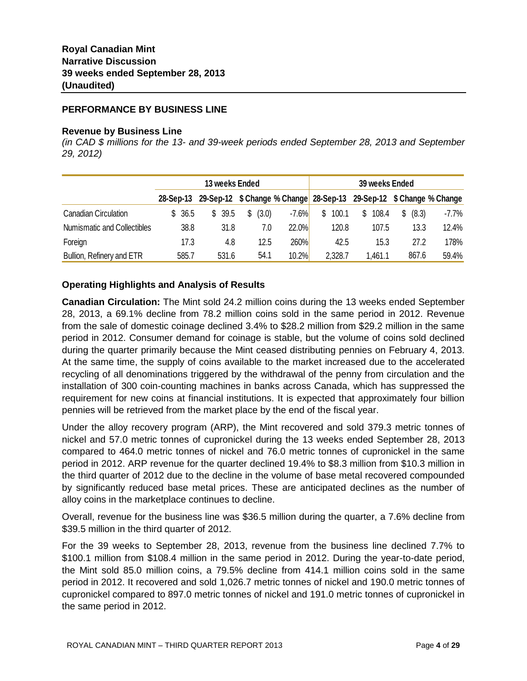#### **PERFORMANCE BY BUSINESS LINE**

#### **Revenue by Business Line**

*(in CAD \$ millions for the 13- and 39-week periods ended September 28, 2013 and September 29, 2012)*

|                             |           | 13 weeks Ended |             |                        | 39 weeks Ended |                                                                     |
|-----------------------------|-----------|----------------|-------------|------------------------|----------------|---------------------------------------------------------------------|
|                             | 28-Sep-13 |                |             |                        |                | 29-Sep-12 \$ Change % Change 28-Sep-13 29-Sep-12 \$ Change % Change |
| <b>Canadian Circulation</b> | \$36.5    | \$ 39.5        | \$<br>(3.0) | $-7.6%$<br>100.1<br>\$ | \$108.4        | -7.7%<br>(8.3)<br>S                                                 |
| Numismatic and Collectibles | 38.8      | 31.8           | 7.0         | 22.0%<br>120.8         | 107.5          | 13.3<br>12.4%                                                       |
| Foreign                     | 17.3      | 4.8            | 12.5        | 260%<br>42.5           | 15.3           | 27.2<br>178%                                                        |
| Bullion, Refinery and ETR   | 585.7     | 531.6          | 54.1        | 10.2%<br>2,328.7       | 1.461.1        | 867.6<br>59.4%                                                      |

# **Operating Highlights and Analysis of Results**

**Canadian Circulation:** The Mint sold 24.2 million coins during the 13 weeks ended September 28, 2013, a 69.1% decline from 78.2 million coins sold in the same period in 2012. Revenue from the sale of domestic coinage declined 3.4% to \$28.2 million from \$29.2 million in the same period in 2012. Consumer demand for coinage is stable, but the volume of coins sold declined during the quarter primarily because the Mint ceased distributing pennies on February 4, 2013. At the same time, the supply of coins available to the market increased due to the accelerated recycling of all denominations triggered by the withdrawal of the penny from circulation and the installation of 300 coin-counting machines in banks across Canada, which has suppressed the requirement for new coins at financial institutions. It is expected that approximately four billion pennies will be retrieved from the market place by the end of the fiscal year.

Under the alloy recovery program (ARP), the Mint recovered and sold 379.3 metric tonnes of nickel and 57.0 metric tonnes of cupronickel during the 13 weeks ended September 28, 2013 compared to 464.0 metric tonnes of nickel and 76.0 metric tonnes of cupronickel in the same period in 2012. ARP revenue for the quarter declined 19.4% to \$8.3 million from \$10.3 million in the third quarter of 2012 due to the decline in the volume of base metal recovered compounded by significantly reduced base metal prices. These are anticipated declines as the number of alloy coins in the marketplace continues to decline.

Overall, revenue for the business line was \$36.5 million during the quarter, a 7.6% decline from \$39.5 million in the third quarter of 2012.

For the 39 weeks to September 28, 2013, revenue from the business line declined 7.7% to \$100.1 million from \$108.4 million in the same period in 2012. During the year-to-date period, the Mint sold 85.0 million coins, a 79.5% decline from 414.1 million coins sold in the same period in 2012. It recovered and sold 1,026.7 metric tonnes of nickel and 190.0 metric tonnes of cupronickel compared to 897.0 metric tonnes of nickel and 191.0 metric tonnes of cupronickel in the same period in 2012.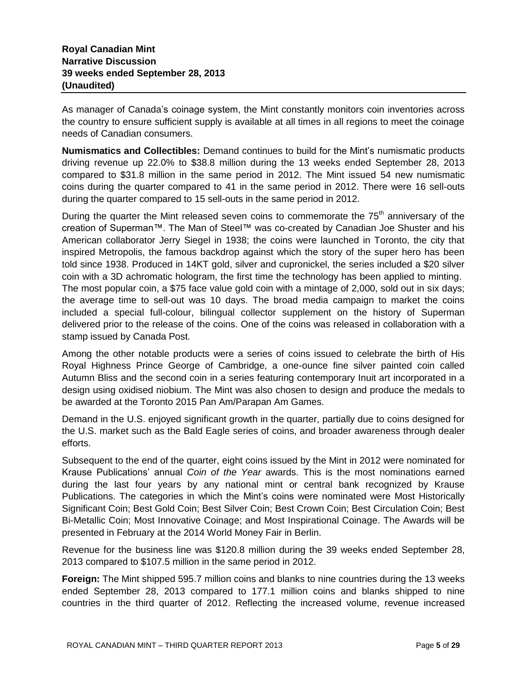As manager of Canada's coinage system, the Mint constantly monitors coin inventories across the country to ensure sufficient supply is available at all times in all regions to meet the coinage needs of Canadian consumers.

**Numismatics and Collectibles:** Demand continues to build for the Mint's numismatic products driving revenue up 22.0% to \$38.8 million during the 13 weeks ended September 28, 2013 compared to \$31.8 million in the same period in 2012. The Mint issued 54 new numismatic coins during the quarter compared to 41 in the same period in 2012. There were 16 sell-outs during the quarter compared to 15 sell-outs in the same period in 2012.

During the quarter the Mint released seven coins to commemorate the  $75<sup>th</sup>$  anniversary of the creation of Superman™. The Man of Steel™ was co-created by Canadian Joe Shuster and his American collaborator Jerry Siegel in 1938; the coins were launched in Toronto, the city that inspired Metropolis, the famous backdrop against which the story of the super hero has been told since 1938. Produced in 14KT gold, silver and cupronickel, the series included a \$20 silver coin with a 3D achromatic hologram, the first time the technology has been applied to minting. The most popular coin, a \$75 face value gold coin with a mintage of 2,000, sold out in six days; the average time to sell-out was 10 days. The broad media campaign to market the coins included a special full-colour, bilingual collector supplement on the history of Superman delivered prior to the release of the coins. One of the coins was released in collaboration with a stamp issued by Canada Post.

Among the other notable products were a series of coins issued to celebrate the birth of His Royal Highness Prince George of Cambridge, a one-ounce fine silver painted coin called Autumn Bliss and the second coin in a series featuring contemporary Inuit art incorporated in a design using oxidised niobium. The Mint was also chosen to design and produce the medals to be awarded at the Toronto 2015 Pan Am/Parapan Am Games.

Demand in the U.S. enjoyed significant growth in the quarter, partially due to coins designed for the U.S. market such as the Bald Eagle series of coins, and broader awareness through dealer efforts.

Subsequent to the end of the quarter, eight coins issued by the Mint in 2012 were nominated for Krause Publications' annual *Coin of the Year* awards. This is the most nominations earned during the last four years by any national mint or central bank recognized by Krause Publications. The categories in which the Mint's coins were nominated were Most Historically Significant Coin; Best Gold Coin; Best Silver Coin; Best Crown Coin; Best Circulation Coin; Best Bi-Metallic Coin; Most Innovative Coinage; and Most Inspirational Coinage. The Awards will be presented in February at the 2014 World Money Fair in Berlin.

Revenue for the business line was \$120.8 million during the 39 weeks ended September 28, 2013 compared to \$107.5 million in the same period in 2012.

**Foreign:** The Mint shipped 595.7 million coins and blanks to nine countries during the 13 weeks ended September 28, 2013 compared to 177.1 million coins and blanks shipped to nine countries in the third quarter of 2012. Reflecting the increased volume, revenue increased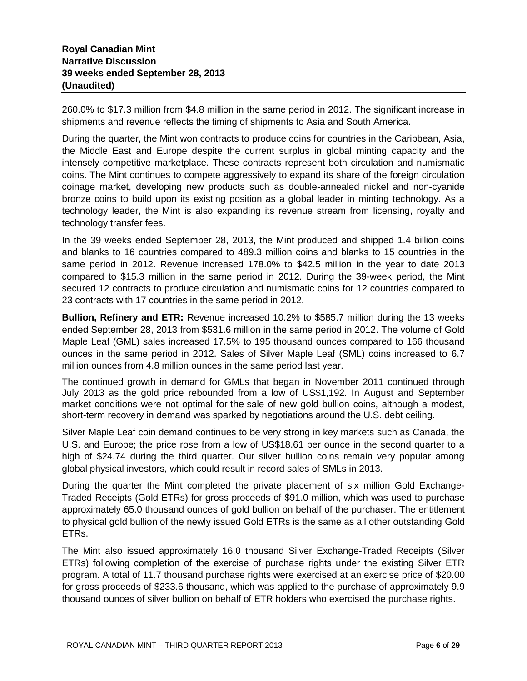260.0% to \$17.3 million from \$4.8 million in the same period in 2012. The significant increase in shipments and revenue reflects the timing of shipments to Asia and South America.

During the quarter, the Mint won contracts to produce coins for countries in the Caribbean, Asia, the Middle East and Europe despite the current surplus in global minting capacity and the intensely competitive marketplace. These contracts represent both circulation and numismatic coins. The Mint continues to compete aggressively to expand its share of the foreign circulation coinage market, developing new products such as double-annealed nickel and non-cyanide bronze coins to build upon its existing position as a global leader in minting technology. As a technology leader, the Mint is also expanding its revenue stream from licensing, royalty and technology transfer fees.

In the 39 weeks ended September 28, 2013, the Mint produced and shipped 1.4 billion coins and blanks to 16 countries compared to 489.3 million coins and blanks to 15 countries in the same period in 2012. Revenue increased 178.0% to \$42.5 million in the year to date 2013 compared to \$15.3 million in the same period in 2012. During the 39-week period, the Mint secured 12 contracts to produce circulation and numismatic coins for 12 countries compared to 23 contracts with 17 countries in the same period in 2012.

**Bullion, Refinery and ETR:** Revenue increased 10.2% to \$585.7 million during the 13 weeks ended September 28, 2013 from \$531.6 million in the same period in 2012. The volume of Gold Maple Leaf (GML) sales increased 17.5% to 195 thousand ounces compared to 166 thousand ounces in the same period in 2012. Sales of Silver Maple Leaf (SML) coins increased to 6.7 million ounces from 4.8 million ounces in the same period last year.

The continued growth in demand for GMLs that began in November 2011 continued through July 2013 as the gold price rebounded from a low of US\$1,192. In August and September market conditions were not optimal for the sale of new gold bullion coins, although a modest, short-term recovery in demand was sparked by negotiations around the U.S. debt ceiling.

Silver Maple Leaf coin demand continues to be very strong in key markets such as Canada, the U.S. and Europe; the price rose from a low of US\$18.61 per ounce in the second quarter to a high of \$24.74 during the third quarter. Our silver bullion coins remain very popular among global physical investors, which could result in record sales of SMLs in 2013.

During the quarter the Mint completed the private placement of six million Gold Exchange-Traded Receipts (Gold ETRs) for gross proceeds of \$91.0 million, which was used to purchase approximately 65.0 thousand ounces of gold bullion on behalf of the purchaser. The entitlement to physical gold bullion of the newly issued Gold ETRs is the same as all other outstanding Gold ETRs.

The Mint also issued approximately 16.0 thousand Silver Exchange-Traded Receipts (Silver ETRs) following completion of the exercise of purchase rights under the existing Silver ETR program. A total of 11.7 thousand purchase rights were exercised at an exercise price of \$20.00 for gross proceeds of \$233.6 thousand, which was applied to the purchase of approximately 9.9 thousand ounces of silver bullion on behalf of ETR holders who exercised the purchase rights.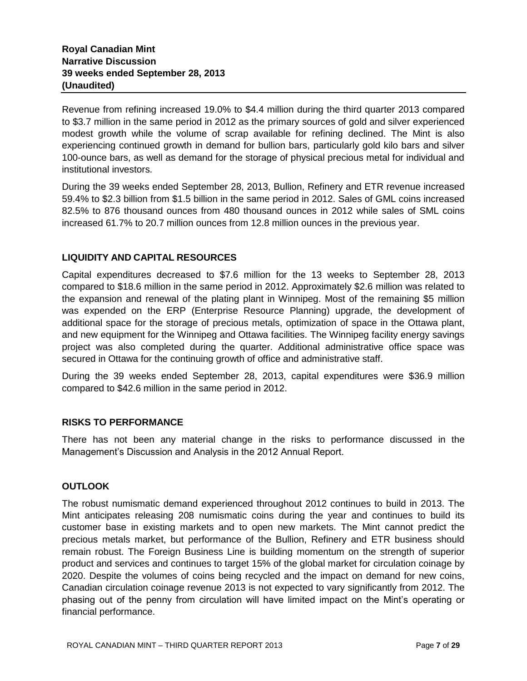Revenue from refining increased 19.0% to \$4.4 million during the third quarter 2013 compared to \$3.7 million in the same period in 2012 as the primary sources of gold and silver experienced modest growth while the volume of scrap available for refining declined. The Mint is also experiencing continued growth in demand for bullion bars, particularly gold kilo bars and silver 100-ounce bars, as well as demand for the storage of physical precious metal for individual and institutional investors.

During the 39 weeks ended September 28, 2013, Bullion, Refinery and ETR revenue increased 59.4% to \$2.3 billion from \$1.5 billion in the same period in 2012. Sales of GML coins increased 82.5% to 876 thousand ounces from 480 thousand ounces in 2012 while sales of SML coins increased 61.7% to 20.7 million ounces from 12.8 million ounces in the previous year.

# **LIQUIDITY AND CAPITAL RESOURCES**

Capital expenditures decreased to \$7.6 million for the 13 weeks to September 28, 2013 compared to \$18.6 million in the same period in 2012. Approximately \$2.6 million was related to the expansion and renewal of the plating plant in Winnipeg. Most of the remaining \$5 million was expended on the ERP (Enterprise Resource Planning) upgrade, the development of additional space for the storage of precious metals, optimization of space in the Ottawa plant, and new equipment for the Winnipeg and Ottawa facilities. The Winnipeg facility energy savings project was also completed during the quarter. Additional administrative office space was secured in Ottawa for the continuing growth of office and administrative staff.

During the 39 weeks ended September 28, 2013, capital expenditures were \$36.9 million compared to \$42.6 million in the same period in 2012.

# **RISKS TO PERFORMANCE**

There has not been any material change in the risks to performance discussed in the Management's Discussion and Analysis in the 2012 Annual Report.

# **OUTLOOK**

The robust numismatic demand experienced throughout 2012 continues to build in 2013. The Mint anticipates releasing 208 numismatic coins during the year and continues to build its customer base in existing markets and to open new markets. The Mint cannot predict the precious metals market, but performance of the Bullion, Refinery and ETR business should remain robust. The Foreign Business Line is building momentum on the strength of superior product and services and continues to target 15% of the global market for circulation coinage by 2020. Despite the volumes of coins being recycled and the impact on demand for new coins, Canadian circulation coinage revenue 2013 is not expected to vary significantly from 2012. The phasing out of the penny from circulation will have limited impact on the Mint's operating or financial performance.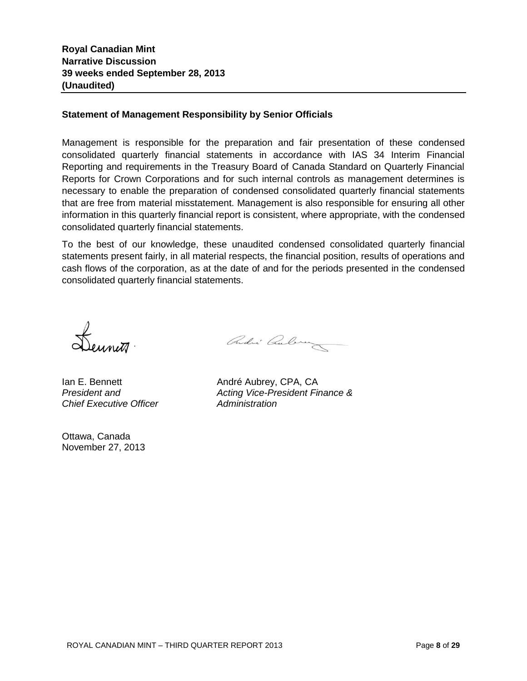# **Statement of Management Responsibility by Senior Officials**

Management is responsible for the preparation and fair presentation of these condensed consolidated quarterly financial statements in accordance with IAS 34 Interim Financial Reporting and requirements in the Treasury Board of Canada Standard on Quarterly Financial Reports for Crown Corporations and for such internal controls as management determines is necessary to enable the preparation of condensed consolidated quarterly financial statements that are free from material misstatement. Management is also responsible for ensuring all other information in this quarterly financial report is consistent, where appropriate, with the condensed consolidated quarterly financial statements.

To the best of our knowledge, these unaudited condensed consolidated quarterly financial statements present fairly, in all material respects, the financial position, results of operations and cash flows of the corporation, as at the date of and for the periods presented in the condensed consolidated quarterly financial statements.

Leunit<sup>a</sup>

*Chief Executive Officer Administration*

Ottawa, Canada November 27, 2013

Ondri Qubruz

Ian E. Bennett **André Aubrey**, CPA, CA *President and Acting Vice-President Finance &*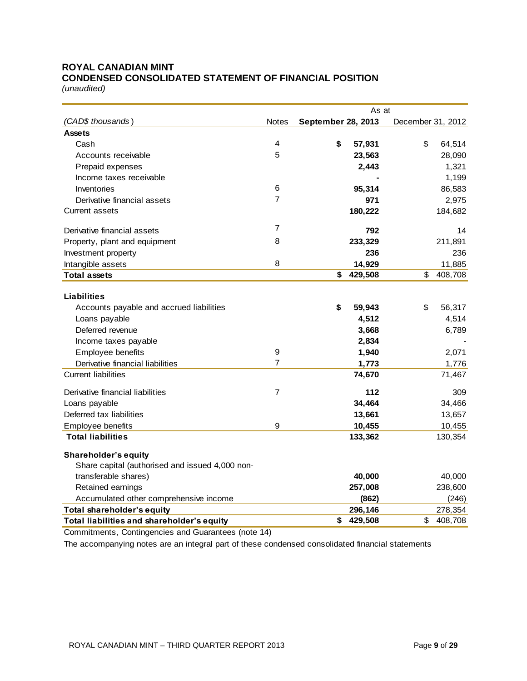# **ROYAL CANADIAN MINT CONDENSED CONSOLIDATED STATEMENT OF FINANCIAL POSITION**

*(unaudited)*

|                                                                         |                | As at                     |                   |
|-------------------------------------------------------------------------|----------------|---------------------------|-------------------|
| (CAD\$ thousands)                                                       | <b>Notes</b>   | <b>September 28, 2013</b> | December 31, 2012 |
| <b>Assets</b>                                                           |                |                           |                   |
| Cash                                                                    | 4              | \$<br>57,931              | \$<br>64,514      |
| Accounts receivable                                                     | 5              | 23,563                    | 28,090            |
| Prepaid expenses                                                        |                | 2,443                     | 1,321             |
| Income taxes receivable                                                 |                |                           | 1,199             |
| Inventories                                                             | 6              | 95,314                    | 86,583            |
| Derivative financial assets                                             | $\overline{7}$ | 971                       | 2,975             |
| <b>Current assets</b>                                                   |                | 180,222                   | 184,682           |
|                                                                         | $\overline{7}$ |                           |                   |
| Derivative financial assets                                             |                | 792                       | 14                |
| Property, plant and equipment                                           | 8              | 233,329                   | 211,891           |
| Investment property                                                     |                | 236                       | 236               |
| Intangible assets                                                       | 8              | 14,929                    | 11,885            |
| <b>Total assets</b>                                                     |                | \$<br>429,508             | \$<br>408,708     |
|                                                                         |                |                           |                   |
| Liabilities                                                             |                |                           |                   |
| Accounts payable and accrued liabilities                                |                | \$<br>59,943              | 56,317<br>\$      |
| Loans payable                                                           |                | 4,512                     | 4,514             |
| Deferred revenue                                                        |                | 3,668                     | 6,789             |
| Income taxes payable                                                    |                | 2,834                     |                   |
| Employee benefits                                                       | 9              | 1,940                     | 2,071             |
| Derivative financial liabilities                                        | $\overline{7}$ | 1,773                     | 1,776             |
| <b>Current liabilities</b>                                              |                | 74,670                    | 71,467            |
| Derivative financial liabilities                                        | $\overline{7}$ | 112                       | 309               |
| Loans payable                                                           |                | 34,464                    | 34,466            |
| Deferred tax liabilities                                                |                | 13,661                    | 13,657            |
| Employee benefits                                                       | 9              | 10,455                    | 10,455            |
| <b>Total liabilities</b>                                                |                | 133,362                   | 130,354           |
|                                                                         |                |                           |                   |
| Shareholder's equity                                                    |                |                           |                   |
| Share capital (authorised and issued 4,000 non-<br>transferable shares) |                | 40,000                    | 40,000            |
| Retained earnings                                                       |                | 257,008                   | 238,600           |
| Accumulated other comprehensive income                                  |                | (862)                     | (246)             |
| Total shareholder's equity                                              |                | 296,146                   | 278,354           |
| Total liabilities and shareholder's equity                              |                | \$<br>429,508             | \$<br>408,708     |
|                                                                         |                |                           |                   |

Commitments, Contingencies and Guarantees (note 14)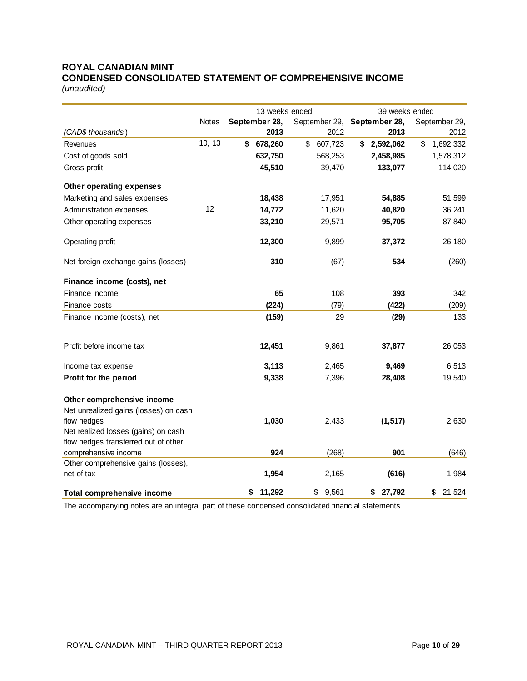# **ROYAL CANADIAN MINT CONDENSED CONSOLIDATED STATEMENT OF COMPREHENSIVE INCOME**

*(unaudited)*

|                                                                                                                                                                   |              | 13 weeks ended |               | 39 weeks ended              |                 |  |  |
|-------------------------------------------------------------------------------------------------------------------------------------------------------------------|--------------|----------------|---------------|-----------------------------|-----------------|--|--|
|                                                                                                                                                                   | <b>Notes</b> | September 28,  |               | September 29, September 28, | September 29,   |  |  |
| (CAD\$ thousands)                                                                                                                                                 |              | 2013           | 2012          | 2013                        | 2012            |  |  |
| Revenues                                                                                                                                                          | 10, 13       | \$<br>678,260  | \$<br>607,723 | \$<br>2,592,062             | \$<br>1,692,332 |  |  |
| Cost of goods sold                                                                                                                                                |              | 632,750        | 568,253       | 2,458,985                   | 1,578,312       |  |  |
| Gross profit                                                                                                                                                      |              | 45,510         | 39,470        | 133,077                     | 114,020         |  |  |
| Other operating expenses                                                                                                                                          |              |                |               |                             |                 |  |  |
| Marketing and sales expenses                                                                                                                                      |              | 18,438         | 17,951        | 54,885                      | 51,599          |  |  |
| Administration expenses                                                                                                                                           | 12           | 14,772         | 11,620        | 40,820                      | 36,241          |  |  |
| Other operating expenses                                                                                                                                          |              | 33,210         | 29,571        | 95,705                      | 87,840          |  |  |
| Operating profit                                                                                                                                                  |              | 12,300         | 9,899         | 37,372                      | 26,180          |  |  |
| Net foreign exchange gains (losses)                                                                                                                               |              | 310            | (67)          | 534                         | (260)           |  |  |
| Finance income (costs), net                                                                                                                                       |              |                |               |                             |                 |  |  |
| Finance income                                                                                                                                                    |              | 65             | 108           | 393                         | 342             |  |  |
| Finance costs                                                                                                                                                     |              | (224)          | (79)          | (422)                       | (209)           |  |  |
| Finance income (costs), net                                                                                                                                       |              | (159)          | 29            | (29)                        | 133             |  |  |
| Profit before income tax                                                                                                                                          |              | 12,451         | 9,861         | 37,877                      | 26,053          |  |  |
| Income tax expense                                                                                                                                                |              | 3,113          | 2,465         | 9,469                       | 6,513           |  |  |
| Profit for the period                                                                                                                                             |              | 9,338          | 7,396         | 28,408                      | 19,540          |  |  |
| Other comprehensive income<br>Net unrealized gains (losses) on cash<br>flow hedges<br>Net realized losses (gains) on cash<br>flow hedges transferred out of other |              | 1,030          | 2,433         | (1, 517)                    | 2,630           |  |  |
| comprehensive income                                                                                                                                              |              | 924            | (268)         | 901                         | (646)           |  |  |
| Other comprehensive gains (losses),                                                                                                                               |              |                |               |                             |                 |  |  |
| net of tax                                                                                                                                                        |              | 1,954          | 2,165         | (616)                       | 1,984           |  |  |
| <b>Total comprehensive income</b>                                                                                                                                 |              | 11,292<br>\$   | \$<br>9,561   | 27,792<br>\$                | \$<br>21,524    |  |  |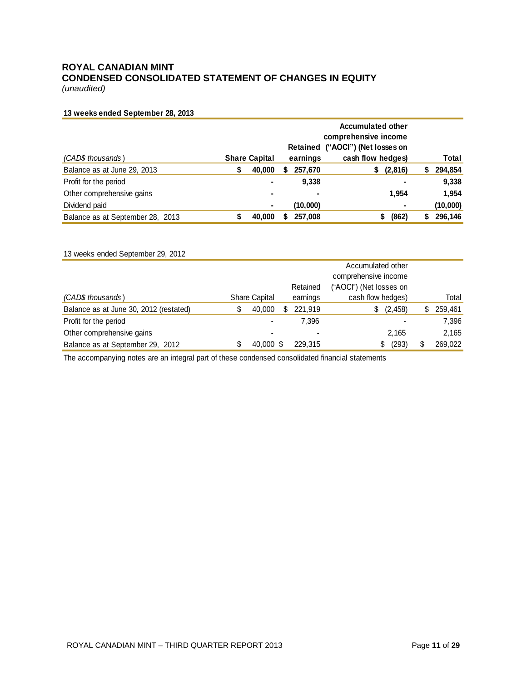# **ROYAL CANADIAN MINT CONDENSED CONSOLIDATED STATEMENT OF CHANGES IN EQUITY**

*(unaudited)*

#### **13 weeks ended September 28, 2013**

|                                  |   |                      | <b>Accumulated other</b><br>comprehensive income<br>Retained ("AOCI") (Net losses on |          |                   |   |          |
|----------------------------------|---|----------------------|--------------------------------------------------------------------------------------|----------|-------------------|---|----------|
| (CAD\$ thousands)                |   | <b>Share Capital</b> |                                                                                      | earnings | cash flow hedges) |   | Total    |
| Balance as at June 29, 2013      | S | 40,000               | 2                                                                                    | 257,670  | (2,816)<br>\$     | 5 | 294,854  |
| Profit for the period            |   | ۰                    |                                                                                      | 9,338    | ۰                 |   | 9,338    |
| Other comprehensive gains        |   | ۰                    |                                                                                      | ۰        | 1,954             |   | 1,954    |
| Dividend paid                    |   | ۰                    |                                                                                      | (10,000) | ۰                 |   | (10,000) |
| Balance as at September 28, 2013 |   | 40,000               | 5                                                                                    | 257,008  | (862)<br>\$       |   | 296,146  |

| 13 weeks ended September 29, 2012      |   |                      |   |          |                         |               |
|----------------------------------------|---|----------------------|---|----------|-------------------------|---------------|
|                                        |   |                      |   |          | Accumulated other       |               |
|                                        |   |                      |   |          | comprehensive income    |               |
|                                        |   |                      |   | Retained | ("AOCI") (Net losses on |               |
| (CAD\$ thousands)                      |   | <b>Share Capital</b> |   | earnings | cash flow hedges)       | Total         |
| Balance as at June 30, 2012 (restated) | S | 40,000               | S | 221.919  | \$<br>(2, 458)          | \$<br>259,461 |
| Profit for the period                  |   |                      |   | 7,396    |                         | 7,396         |
| Other comprehensive gains              |   |                      |   |          | 2,165                   | 2,165         |
| Balance as at September 29, 2012       |   | 40,000 \$            |   | 229.315  | (293)<br>\$             | 269,022       |
|                                        |   |                      |   |          |                         |               |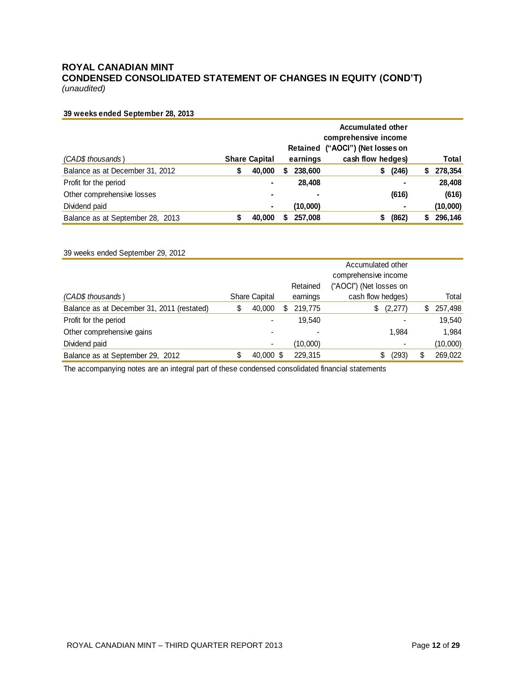# **ROYAL CANADIAN MINT CONDENSED CONSOLIDATED STATEMENT OF CHANGES IN EQUITY (COND'T)**

*(unaudited)*

#### **39 weeks ended September 28, 2013**

|                                  |   |                      | <b>Accumulated other</b><br>comprehensive income<br>Retained ("AOCI") (Net losses on |          |                   |   |          |
|----------------------------------|---|----------------------|--------------------------------------------------------------------------------------|----------|-------------------|---|----------|
| (CAD\$ thousands)                |   | <b>Share Capital</b> |                                                                                      | earnings | cash flow hedges) |   | Total    |
| Balance as at December 31, 2012  | S | 40,000               | 5                                                                                    | 238,600  | (246)<br>\$       | 5 | 278,354  |
| Profit for the period            |   |                      |                                                                                      | 28.408   |                   | - | 28,408   |
| Other comprehensive losses       |   | ۰                    |                                                                                      | ۰        | (616)             |   | (616)    |
| Dividend paid                    |   | ۰                    |                                                                                      | (10,000) |                   | ۰ | (10,000) |
| Balance as at September 28, 2013 |   | 40,000               | \$                                                                                   | 257,008  | (862)<br>S        |   | 296,146  |

#### 39 weeks ended September 29, 2012

|                                            |   |                      |   | Retained | Accumulated other<br>comprehensive income<br>("AOCI") (Net losses on |    |          |
|--------------------------------------------|---|----------------------|---|----------|----------------------------------------------------------------------|----|----------|
| (CAD\$ thousands)                          |   | <b>Share Capital</b> |   | earnings | cash flow hedges)                                                    |    | Total    |
| Balance as at December 31, 2011 (restated) | S | 40,000               | S | 219,775  | (2,277)<br>\$                                                        | S. | 257,498  |
| Profit for the period                      |   |                      |   | 19.540   |                                                                      |    | 19,540   |
| Other comprehensive gains                  |   |                      |   |          | 1.984                                                                |    | 1.984    |
| Dividend paid                              |   |                      |   | (10,000) |                                                                      |    | (10,000) |
| Balance as at September 29, 2012           |   | 40,000 \$            |   | 229.315  | S<br>(293)                                                           |    | 269,022  |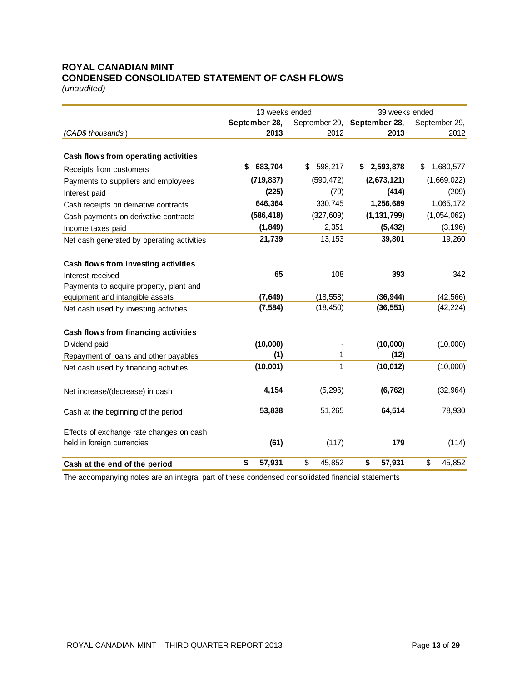# **ROYAL CANADIAN MINT CONDENSED CONSOLIDATED STATEMENT OF CASH FLOWS**

*(unaudited)*

|                                            | 13 weeks ended |               | 39 weeks ended              |                 |  |  |
|--------------------------------------------|----------------|---------------|-----------------------------|-----------------|--|--|
|                                            | September 28,  |               | September 29, September 28, | September 29,   |  |  |
| (CAD\$ thousands)                          | 2013           | 2012          | 2013                        | 2012            |  |  |
| Cash flows from operating activities       |                |               |                             |                 |  |  |
| Receipts from customers                    | 683,704<br>S   | 598,217<br>\$ | 2,593,878<br>S.             | 1,680,577<br>\$ |  |  |
| Payments to suppliers and employees        | (719, 837)     | (590, 472)    | (2,673,121)                 | (1,669,022)     |  |  |
| Interest paid                              | (225)          | (79)          | (414)                       | (209)           |  |  |
| Cash receipts on derivative contracts      | 646,364        | 330,745       | 1,256,689                   | 1,065,172       |  |  |
| Cash payments on derivative contracts      | (586, 418)     | (327, 609)    | (1, 131, 799)               | (1,054,062)     |  |  |
| Income taxes paid                          | (1, 849)       | 2,351         | (5, 432)                    | (3, 196)        |  |  |
| Net cash generated by operating activities | 21,739         | 13,153        | 39,801                      | 19,260          |  |  |
| Cash flows from investing activities       |                |               |                             |                 |  |  |
| Interest received                          | 65             | 108           | 393                         | 342             |  |  |
| Payments to acquire property, plant and    |                |               |                             |                 |  |  |
| equipment and intangible assets            | (7, 649)       | (18, 558)     | (36, 944)                   | (42, 566)       |  |  |
| Net cash used by investing activities      | (7, 584)       | (18, 450)     | (36, 551)                   | (42, 224)       |  |  |
| Cash flows from financing activities       |                |               |                             |                 |  |  |
| Dividend paid                              | (10,000)       |               | (10,000)                    | (10,000)        |  |  |
| Repayment of loans and other payables      | (1)            | 1             | (12)                        |                 |  |  |
| Net cash used by financing activities      | (10,001)       | 1             | (10, 012)                   | (10,000)        |  |  |
| Net increase/(decrease) in cash            | 4,154          | (5, 296)      | (6, 762)                    | (32, 964)       |  |  |
| Cash at the beginning of the period        | 53,838         | 51,265        | 64,514                      | 78,930          |  |  |
| Effects of exchange rate changes on cash   |                |               |                             |                 |  |  |
| held in foreign currencies                 | (61)           | (117)         | 179                         | (114)           |  |  |
| Cash at the end of the period              | \$<br>57,931   | \$<br>45,852  | \$<br>57,931                | \$<br>45,852    |  |  |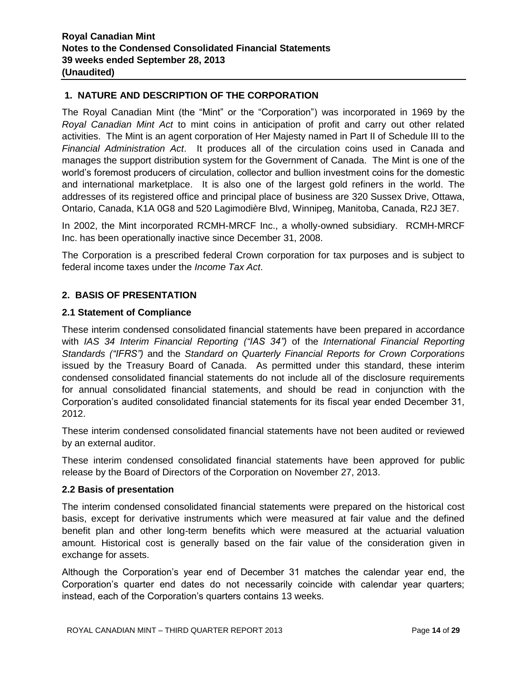# **1. NATURE AND DESCRIPTION OF THE CORPORATION**

The Royal Canadian Mint (the "Mint" or the "Corporation") was incorporated in 1969 by the *Royal Canadian Mint Act* to mint coins in anticipation of profit and carry out other related activities. The Mint is an agent corporation of Her Majesty named in Part II of Schedule III to the *Financial Administration Act*. It produces all of the circulation coins used in Canada and manages the support distribution system for the Government of Canada. The Mint is one of the world's foremost producers of circulation, collector and bullion investment coins for the domestic and international marketplace. It is also one of the largest gold refiners in the world. The addresses of its registered office and principal place of business are 320 Sussex Drive, Ottawa, Ontario, Canada, K1A 0G8 and 520 Lagimodière Blvd, Winnipeg, Manitoba, Canada, R2J 3E7.

In 2002, the Mint incorporated RCMH-MRCF Inc., a wholly-owned subsidiary. RCMH-MRCF Inc. has been operationally inactive since December 31, 2008.

The Corporation is a prescribed federal Crown corporation for tax purposes and is subject to federal income taxes under the *Income Tax Act*.

# **2. BASIS OF PRESENTATION**

#### **2.1 Statement of Compliance**

These interim condensed consolidated financial statements have been prepared in accordance with *IAS 34 Interim Financial Reporting ("IAS 34")* of the *International Financial Reporting Standards ("IFRS")* and the *Standard on Quarterly Financial Reports for Crown Corporations* issued by the Treasury Board of Canada. As permitted under this standard, these interim condensed consolidated financial statements do not include all of the disclosure requirements for annual consolidated financial statements, and should be read in conjunction with the Corporation's audited consolidated financial statements for its fiscal year ended December 31, 2012.

These interim condensed consolidated financial statements have not been audited or reviewed by an external auditor.

These interim condensed consolidated financial statements have been approved for public release by the Board of Directors of the Corporation on November 27, 2013.

#### **2.2 Basis of presentation**

The interim condensed consolidated financial statements were prepared on the historical cost basis, except for derivative instruments which were measured at fair value and the defined benefit plan and other long-term benefits which were measured at the actuarial valuation amount. Historical cost is generally based on the fair value of the consideration given in exchange for assets.

Although the Corporation's year end of December 31 matches the calendar year end, the Corporation's quarter end dates do not necessarily coincide with calendar year quarters; instead, each of the Corporation's quarters contains 13 weeks.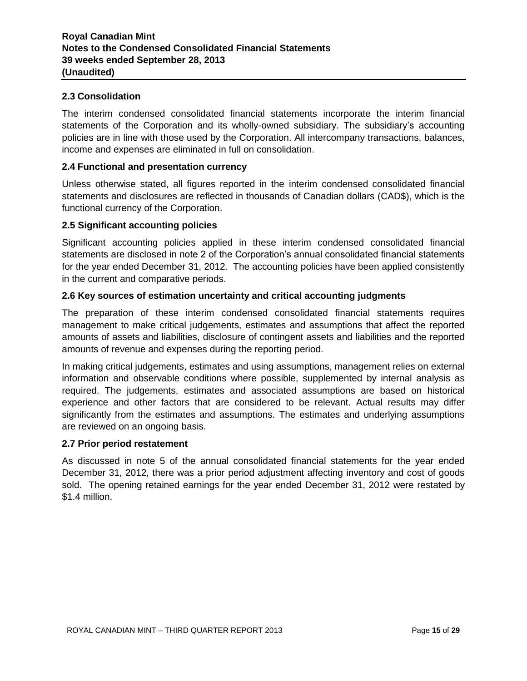# **2.3 Consolidation**

The interim condensed consolidated financial statements incorporate the interim financial statements of the Corporation and its wholly-owned subsidiary. The subsidiary's accounting policies are in line with those used by the Corporation. All intercompany transactions, balances, income and expenses are eliminated in full on consolidation.

# **2.4 Functional and presentation currency**

Unless otherwise stated, all figures reported in the interim condensed consolidated financial statements and disclosures are reflected in thousands of Canadian dollars (CAD\$), which is the functional currency of the Corporation.

# **2.5 Significant accounting policies**

Significant accounting policies applied in these interim condensed consolidated financial statements are disclosed in note 2 of the Corporation's annual consolidated financial statements for the year ended December 31, 2012. The accounting policies have been applied consistently in the current and comparative periods.

# **2.6 Key sources of estimation uncertainty and critical accounting judgments**

The preparation of these interim condensed consolidated financial statements requires management to make critical judgements, estimates and assumptions that affect the reported amounts of assets and liabilities, disclosure of contingent assets and liabilities and the reported amounts of revenue and expenses during the reporting period.

In making critical judgements, estimates and using assumptions, management relies on external information and observable conditions where possible, supplemented by internal analysis as required. The judgements, estimates and associated assumptions are based on historical experience and other factors that are considered to be relevant. Actual results may differ significantly from the estimates and assumptions. The estimates and underlying assumptions are reviewed on an ongoing basis.

#### **2.7 Prior period restatement**

As discussed in note 5 of the annual consolidated financial statements for the year ended December 31, 2012, there was a prior period adjustment affecting inventory and cost of goods sold. The opening retained earnings for the year ended December 31, 2012 were restated by \$1.4 million.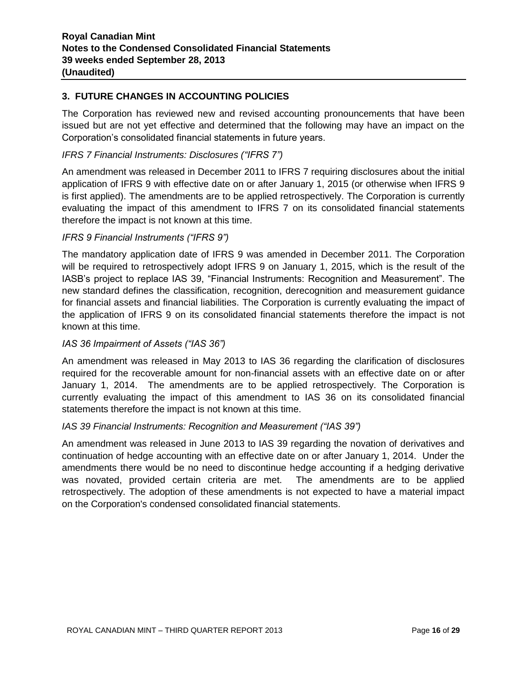# **3. FUTURE CHANGES IN ACCOUNTING POLICIES**

The Corporation has reviewed new and revised accounting pronouncements that have been issued but are not yet effective and determined that the following may have an impact on the Corporation's consolidated financial statements in future years.

# *IFRS 7 Financial Instruments: Disclosures ("IFRS 7")*

An amendment was released in December 2011 to IFRS 7 requiring disclosures about the initial application of IFRS 9 with effective date on or after January 1, 2015 (or otherwise when IFRS 9 is first applied). The amendments are to be applied retrospectively. The Corporation is currently evaluating the impact of this amendment to IFRS 7 on its consolidated financial statements therefore the impact is not known at this time.

# *IFRS 9 Financial Instruments ("IFRS 9")*

The mandatory application date of IFRS 9 was amended in December 2011. The Corporation will be required to retrospectively adopt IFRS 9 on January 1, 2015, which is the result of the IASB's project to replace IAS 39, "Financial Instruments: Recognition and Measurement". The new standard defines the classification, recognition, derecognition and measurement guidance for financial assets and financial liabilities. The Corporation is currently evaluating the impact of the application of IFRS 9 on its consolidated financial statements therefore the impact is not known at this time.

# *IAS 36 Impairment of Assets ("IAS 36")*

An amendment was released in May 2013 to IAS 36 regarding the clarification of disclosures required for the recoverable amount for non-financial assets with an effective date on or after January 1, 2014. The amendments are to be applied retrospectively. The Corporation is currently evaluating the impact of this amendment to IAS 36 on its consolidated financial statements therefore the impact is not known at this time.

# *IAS 39 Financial Instruments: Recognition and Measurement ("IAS 39")*

An amendment was released in June 2013 to IAS 39 regarding the novation of derivatives and continuation of hedge accounting with an effective date on or after January 1, 2014. Under the amendments there would be no need to discontinue hedge accounting if a hedging derivative was novated, provided certain criteria are met. The amendments are to be applied retrospectively. The adoption of these amendments is not expected to have a material impact on the Corporation's condensed consolidated financial statements.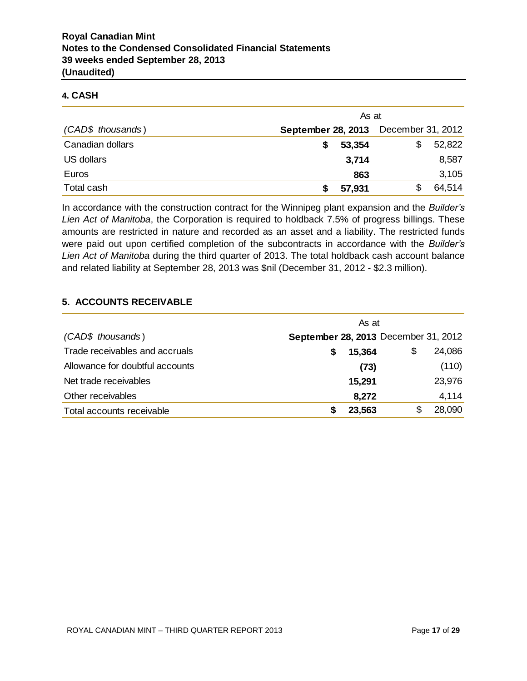# **4. CASH**

|                   | As at                                |        |   |        |  |  |
|-------------------|--------------------------------------|--------|---|--------|--|--|
| (CAD\$ thousands) | September 28, 2013 December 31, 2012 |        |   |        |  |  |
| Canadian dollars  |                                      | 53,354 | S | 52,822 |  |  |
| US dollars        |                                      | 3,714  |   | 8,587  |  |  |
| Euros             |                                      | 863    |   | 3,105  |  |  |
| Total cash        |                                      | 57,931 |   | 64,514 |  |  |

In accordance with the construction contract for the Winnipeg plant expansion and the *Builder's Lien Act of Manitoba*, the Corporation is required to holdback 7.5% of progress billings. These amounts are restricted in nature and recorded as an asset and a liability. The restricted funds were paid out upon certified completion of the subcontracts in accordance with the *Builder's Lien Act of Manitoba* during the third quarter of 2013. The total holdback cash account balance and related liability at September 28, 2013 was \$nil (December 31, 2012 - \$2.3 million).

# **5. ACCOUNTS RECEIVABLE**

|                                 | As at                                |   |        |
|---------------------------------|--------------------------------------|---|--------|
| (CAD\$ thousands)               | September 28, 2013 December 31, 2012 |   |        |
| Trade receivables and accruals  | 15,364<br>S                          |   | 24,086 |
| Allowance for doubtful accounts | (73)                                 |   | (110)  |
| Net trade receivables           | 15,291                               |   | 23,976 |
| Other receivables               | 8,272                                |   | 4,114  |
| Total accounts receivable       | 23,563                               | S | 28,090 |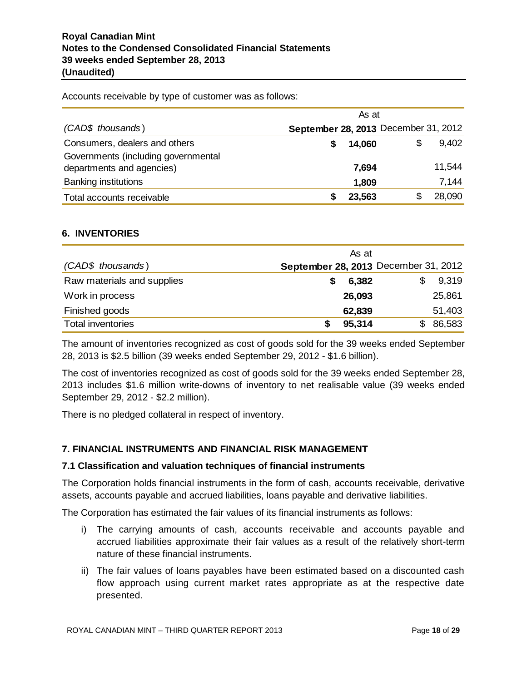Accounts receivable by type of customer was as follows:

|                                     |                                      | As at  |   |        |
|-------------------------------------|--------------------------------------|--------|---|--------|
| (CAD\$ thousands)                   | September 28, 2013 December 31, 2012 |        |   |        |
| Consumers, dealers and others       |                                      | 14,060 | S | 9,402  |
| Governments (including governmental |                                      |        |   |        |
| departments and agencies)           |                                      | 7,694  |   | 11,544 |
| <b>Banking institutions</b>         |                                      | 1,809  |   | 7,144  |
| Total accounts receivable           |                                      | 23,563 |   | 28,090 |

#### **6. INVENTORIES**

|                            | As at      |                                      |
|----------------------------|------------|--------------------------------------|
| (CAD\$ thousands)          |            | September 28, 2013 December 31, 2012 |
| Raw materials and supplies | 6,382<br>S | 9,319                                |
| Work in process            | 26,093     | 25,861                               |
| Finished goods             | 62,839     | 51,403                               |
| <b>Total inventories</b>   | 95,314     | 86,583                               |

The amount of inventories recognized as cost of goods sold for the 39 weeks ended September 28, 2013 is \$2.5 billion (39 weeks ended September 29, 2012 - \$1.6 billion).

The cost of inventories recognized as cost of goods sold for the 39 weeks ended September 28, 2013 includes \$1.6 million write-downs of inventory to net realisable value (39 weeks ended September 29, 2012 - \$2.2 million).

There is no pledged collateral in respect of inventory.

# **7. FINANCIAL INSTRUMENTS AND FINANCIAL RISK MANAGEMENT**

#### **7.1 Classification and valuation techniques of financial instruments**

The Corporation holds financial instruments in the form of cash, accounts receivable, derivative assets, accounts payable and accrued liabilities, loans payable and derivative liabilities.

The Corporation has estimated the fair values of its financial instruments as follows:

- i) The carrying amounts of cash, accounts receivable and accounts payable and accrued liabilities approximate their fair values as a result of the relatively short-term nature of these financial instruments.
- ii) The fair values of loans payables have been estimated based on a discounted cash flow approach using current market rates appropriate as at the respective date presented.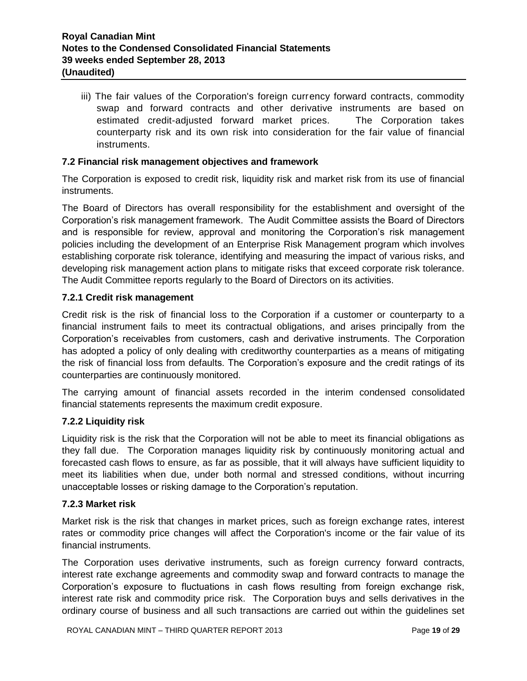iii) The fair values of the Corporation's foreign currency forward contracts, commodity swap and forward contracts and other derivative instruments are based on estimated credit-adjusted forward market prices. The Corporation takes counterparty risk and its own risk into consideration for the fair value of financial instruments.

# **7.2 Financial risk management objectives and framework**

The Corporation is exposed to credit risk, liquidity risk and market risk from its use of financial instruments.

The Board of Directors has overall responsibility for the establishment and oversight of the Corporation's risk management framework. The Audit Committee assists the Board of Directors and is responsible for review, approval and monitoring the Corporation's risk management policies including the development of an Enterprise Risk Management program which involves establishing corporate risk tolerance, identifying and measuring the impact of various risks, and developing risk management action plans to mitigate risks that exceed corporate risk tolerance. The Audit Committee reports regularly to the Board of Directors on its activities.

# **7.2.1 Credit risk management**

Credit risk is the risk of financial loss to the Corporation if a customer or counterparty to a financial instrument fails to meet its contractual obligations, and arises principally from the Corporation's receivables from customers, cash and derivative instruments. The Corporation has adopted a policy of only dealing with creditworthy counterparties as a means of mitigating the risk of financial loss from defaults. The Corporation's exposure and the credit ratings of its counterparties are continuously monitored.

The carrying amount of financial assets recorded in the interim condensed consolidated financial statements represents the maximum credit exposure.

#### **7.2.2 Liquidity risk**

Liquidity risk is the risk that the Corporation will not be able to meet its financial obligations as they fall due. The Corporation manages liquidity risk by continuously monitoring actual and forecasted cash flows to ensure, as far as possible, that it will always have sufficient liquidity to meet its liabilities when due, under both normal and stressed conditions, without incurring unacceptable losses or risking damage to the Corporation's reputation.

#### **7.2.3 Market risk**

Market risk is the risk that changes in market prices, such as foreign exchange rates, interest rates or commodity price changes will affect the Corporation's income or the fair value of its financial instruments.

The Corporation uses derivative instruments, such as foreign currency forward contracts, interest rate exchange agreements and commodity swap and forward contracts to manage the Corporation's exposure to fluctuations in cash flows resulting from foreign exchange risk, interest rate risk and commodity price risk. The Corporation buys and sells derivatives in the ordinary course of business and all such transactions are carried out within the guidelines set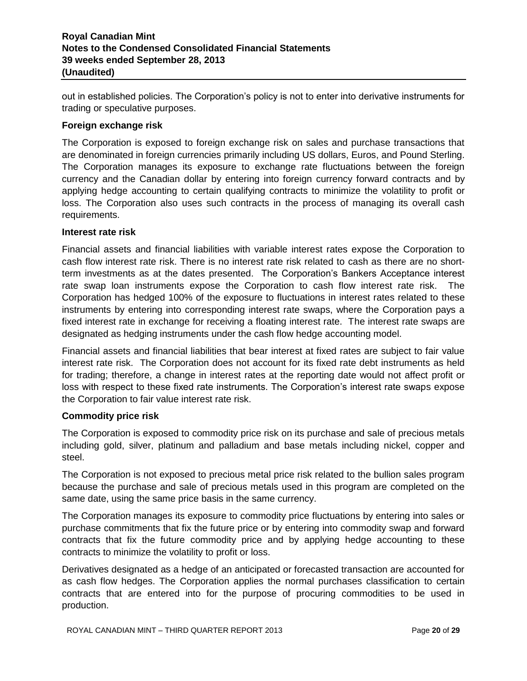out in established policies. The Corporation's policy is not to enter into derivative instruments for trading or speculative purposes.

# **Foreign exchange risk**

The Corporation is exposed to foreign exchange risk on sales and purchase transactions that are denominated in foreign currencies primarily including US dollars, Euros, and Pound Sterling. The Corporation manages its exposure to exchange rate fluctuations between the foreign currency and the Canadian dollar by entering into foreign currency forward contracts and by applying hedge accounting to certain qualifying contracts to minimize the volatility to profit or loss. The Corporation also uses such contracts in the process of managing its overall cash requirements.

#### **Interest rate risk**

Financial assets and financial liabilities with variable interest rates expose the Corporation to cash flow interest rate risk. There is no interest rate risk related to cash as there are no shortterm investments as at the dates presented. The Corporation's Bankers Acceptance interest rate swap loan instruments expose the Corporation to cash flow interest rate risk. The Corporation has hedged 100% of the exposure to fluctuations in interest rates related to these instruments by entering into corresponding interest rate swaps, where the Corporation pays a fixed interest rate in exchange for receiving a floating interest rate. The interest rate swaps are designated as hedging instruments under the cash flow hedge accounting model.

Financial assets and financial liabilities that bear interest at fixed rates are subject to fair value interest rate risk. The Corporation does not account for its fixed rate debt instruments as held for trading; therefore, a change in interest rates at the reporting date would not affect profit or loss with respect to these fixed rate instruments. The Corporation's interest rate swaps expose the Corporation to fair value interest rate risk.

#### **Commodity price risk**

The Corporation is exposed to commodity price risk on its purchase and sale of precious metals including gold, silver, platinum and palladium and base metals including nickel, copper and steel.

The Corporation is not exposed to precious metal price risk related to the bullion sales program because the purchase and sale of precious metals used in this program are completed on the same date, using the same price basis in the same currency.

The Corporation manages its exposure to commodity price fluctuations by entering into sales or purchase commitments that fix the future price or by entering into commodity swap and forward contracts that fix the future commodity price and by applying hedge accounting to these contracts to minimize the volatility to profit or loss.

Derivatives designated as a hedge of an anticipated or forecasted transaction are accounted for as cash flow hedges. The Corporation applies the normal purchases classification to certain contracts that are entered into for the purpose of procuring commodities to be used in production.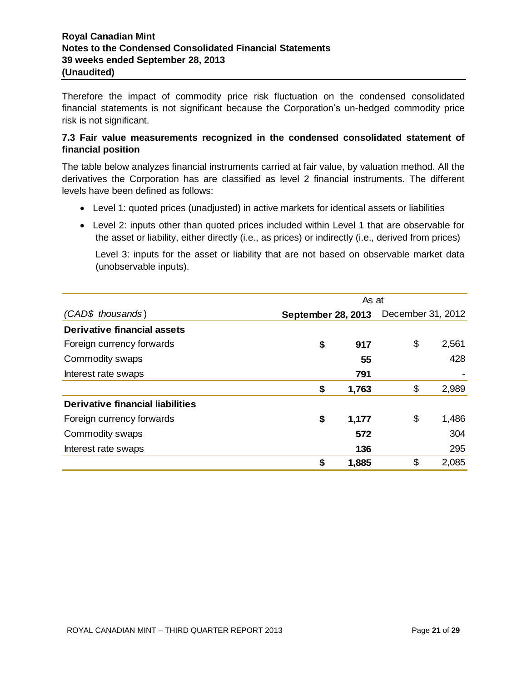Therefore the impact of commodity price risk fluctuation on the condensed consolidated financial statements is not significant because the Corporation's un-hedged commodity price risk is not significant.

# **7.3 Fair value measurements recognized in the condensed consolidated statement of financial position**

The table below analyzes financial instruments carried at fair value, by valuation method. All the derivatives the Corporation has are classified as level 2 financial instruments. The different levels have been defined as follows:

- Level 1: quoted prices (unadjusted) in active markets for identical assets or liabilities
- Level 2: inputs other than quoted prices included within Level 1 that are observable for the asset or liability, either directly (i.e., as prices) or indirectly (i.e., derived from prices)

Level 3: inputs for the asset or liability that are not based on observable market data (unobservable inputs).

|                                  | As at              |       |                   |       |  |
|----------------------------------|--------------------|-------|-------------------|-------|--|
| (CAD\$ thousands)                | September 28, 2013 |       | December 31, 2012 |       |  |
| Derivative financial assets      |                    |       |                   |       |  |
| Foreign currency forwards        | \$                 | 917   | \$                | 2,561 |  |
| Commodity swaps                  |                    | 55    |                   | 428   |  |
| Interest rate swaps              |                    | 791   |                   |       |  |
|                                  | \$                 | 1,763 | \$                | 2,989 |  |
| Derivative financial liabilities |                    |       |                   |       |  |
| Foreign currency forwards        | \$                 | 1,177 | \$                | 1,486 |  |
| Commodity swaps                  |                    | 572   |                   | 304   |  |
| Interest rate swaps              |                    | 136   |                   | 295   |  |
|                                  | \$                 | 1,885 | \$                | 2,085 |  |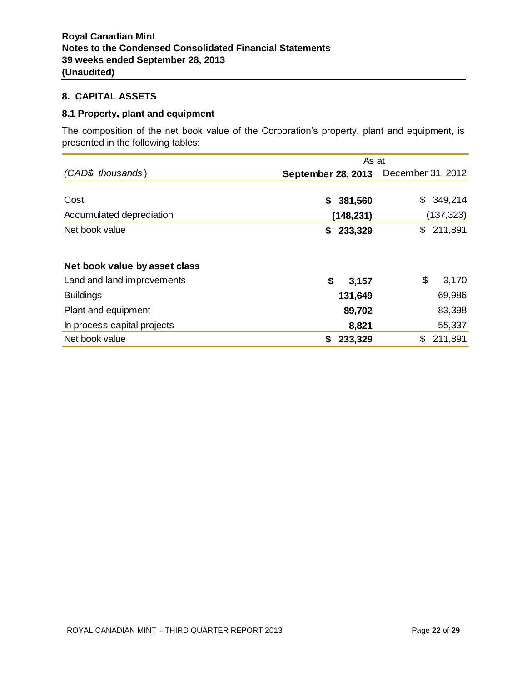# **8. CAPITAL ASSETS**

# **8.1 Property, plant and equipment**

The composition of the net book value of the Corporation's property, plant and equipment, is presented in the following tables:

|                               | As at              |                   |  |  |  |
|-------------------------------|--------------------|-------------------|--|--|--|
| (CAD\$ thousands)             | September 28, 2013 | December 31, 2012 |  |  |  |
|                               |                    |                   |  |  |  |
| Cost                          | 381,560<br>S.      | 349,214<br>\$     |  |  |  |
| Accumulated depreciation      | (148, 231)         | (137, 323)        |  |  |  |
| Net book value                | 233,329<br>S.      | \$<br>211,891     |  |  |  |
|                               |                    |                   |  |  |  |
| Net book value by asset class |                    |                   |  |  |  |
| Land and land improvements    | \$<br>3,157        | \$<br>3,170       |  |  |  |
| <b>Buildings</b>              | 131,649            | 69,986            |  |  |  |
| Plant and equipment           | 89,702             | 83,398            |  |  |  |
| In process capital projects   | 8,821              | 55,337            |  |  |  |
| Net book value                | 233,329<br>S       | \$<br>211,891     |  |  |  |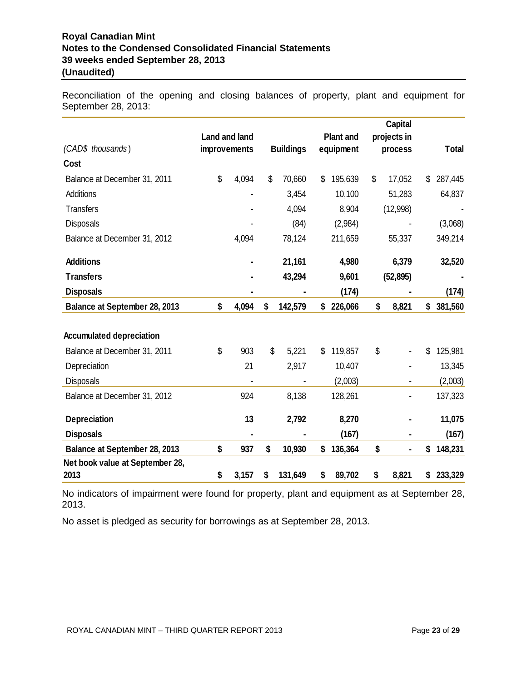Reconciliation of the opening and closing balances of property, plant and equipment for September 28, 2013:

|                                 |               |                  |                  | <b>Capital</b> |               |
|---------------------------------|---------------|------------------|------------------|----------------|---------------|
|                                 | Land and land |                  | <b>Plant and</b> | projects in    |               |
| (CAD\$ thousands)               | improvements  | <b>Buildings</b> | equipment        | process        | <b>Total</b>  |
| Cost                            |               |                  |                  |                |               |
| Balance at December 31, 2011    | \$<br>4,094   | \$<br>70,660     | \$<br>195,639    | \$<br>17,052   | \$<br>287,445 |
| <b>Additions</b>                |               | 3,454            | 10,100           | 51,283         | 64,837        |
| <b>Transfers</b>                |               | 4,094            | 8,904            | (12,998)       |               |
| <b>Disposals</b>                |               | (84)             | (2,984)          |                | (3,068)       |
| Balance at December 31, 2012    | 4,094         | 78,124           | 211,659          | 55,337         | 349,214       |
| <b>Additions</b>                |               | 21,161           | 4,980            | 6,379          | 32,520        |
| <b>Transfers</b>                |               | 43,294           | 9,601            | (52, 895)      |               |
| <b>Disposals</b>                |               |                  | (174)            |                | (174)         |
| Balance at September 28, 2013   | \$<br>4,094   | \$<br>142,579    | \$<br>226,066    | \$<br>8,821    | \$<br>381,560 |
|                                 |               |                  |                  |                |               |
| <b>Accumulated depreciation</b> |               |                  |                  |                |               |
| Balance at December 31, 2011    | \$<br>903     | \$<br>5,221      | \$<br>119,857    | \$             | \$<br>125,981 |
| Depreciation                    | 21            | 2,917            | 10,407           |                | 13,345        |
| <b>Disposals</b>                |               |                  | (2,003)          |                | (2,003)       |
| Balance at December 31, 2012    | 924           | 8,138            | 128,261          |                | 137,323       |
| <b>Depreciation</b>             | 13            | 2,792            | 8,270            |                | 11,075        |
| <b>Disposals</b>                |               |                  | (167)            |                | (167)         |
| Balance at September 28, 2013   | \$<br>937     | \$<br>10,930     | \$<br>136,364    | \$             | \$<br>148,231 |
| Net book value at September 28, |               |                  |                  |                |               |
| 2013                            | \$<br>3,157   | \$<br>131,649    | \$<br>89,702     | \$<br>8,821    | \$<br>233,329 |

No indicators of impairment were found for property, plant and equipment as at September 28, 2013.

No asset is pledged as security for borrowings as at September 28, 2013.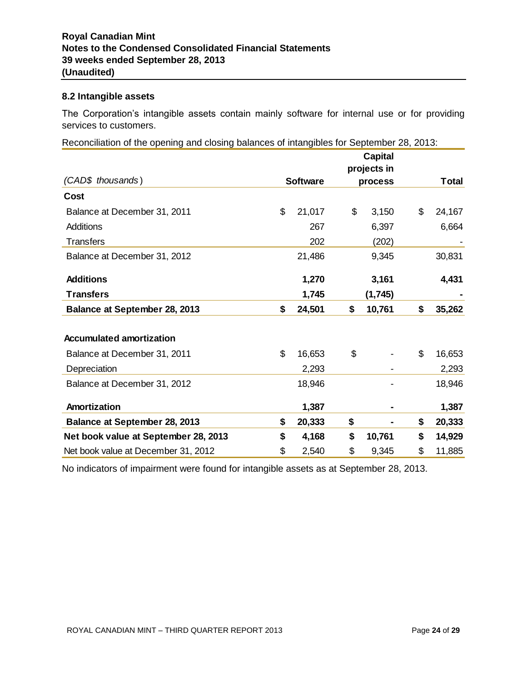# **8.2 Intangible assets**

The Corporation's intangible assets contain mainly software for internal use or for providing services to customers.

Reconciliation of the opening and closing balances of intangibles for September 28, 2013:

|                                      |                 | <b>Capital</b><br>projects in |              |
|--------------------------------------|-----------------|-------------------------------|--------------|
| (CAD\$ thousands)                    | <b>Software</b> | process                       | <b>Total</b> |
| Cost                                 |                 |                               |              |
| Balance at December 31, 2011         | \$<br>21,017    | \$<br>3,150                   | \$<br>24,167 |
| Additions                            | 267             | 6,397                         | 6,664        |
| <b>Transfers</b>                     | 202             | (202)                         |              |
| Balance at December 31, 2012         | 21,486          | 9,345                         | 30,831       |
| <b>Additions</b>                     | 1,270           | 3,161                         | 4,431        |
| <b>Transfers</b>                     | 1,745           | (1,745)                       |              |
| <b>Balance at September 28, 2013</b> | \$<br>24,501    | \$<br>10,761                  | \$<br>35,262 |
| <b>Accumulated amortization</b>      |                 |                               |              |
|                                      |                 |                               |              |
| Balance at December 31, 2011         | \$<br>16,653    | \$                            | \$<br>16,653 |
| Depreciation                         | 2,293           |                               | 2,293        |
| Balance at December 31, 2012         | 18,946          |                               | 18,946       |
| Amortization                         | 1,387           |                               | 1,387        |
| <b>Balance at September 28, 2013</b> | \$<br>20,333    | \$                            | \$<br>20,333 |
| Net book value at September 28, 2013 | \$<br>4,168     | \$<br>10,761                  | \$<br>14,929 |
| Net book value at December 31, 2012  | \$<br>2,540     | \$<br>9,345                   | \$<br>11,885 |

No indicators of impairment were found for intangible assets as at September 28, 2013.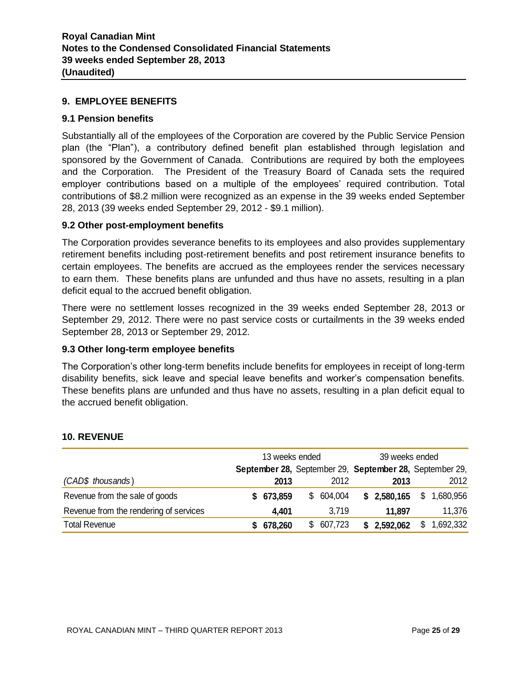# **9. EMPLOYEE BENEFITS**

#### **9.1 Pension benefits**

Substantially all of the employees of the Corporation are covered by the Public Service Pension plan (the "Plan"), a contributory defined benefit plan established through legislation and sponsored by the Government of Canada. Contributions are required by both the employees and the Corporation. The President of the Treasury Board of Canada sets the required employer contributions based on a multiple of the employees' required contribution. Total contributions of \$8.2 million were recognized as an expense in the 39 weeks ended September 28, 2013 (39 weeks ended September 29, 2012 - \$9.1 million).

#### **9.2 Other post-employment benefits**

The Corporation provides severance benefits to its employees and also provides supplementary retirement benefits including post-retirement benefits and post retirement insurance benefits to certain employees. The benefits are accrued as the employees render the services necessary to earn them. These benefits plans are unfunded and thus have no assets, resulting in a plan deficit equal to the accrued benefit obligation.

There were no settlement losses recognized in the 39 weeks ended September 28, 2013 or September 29, 2012. There were no past service costs or curtailments in the 39 weeks ended September 28, 2013 or September 29, 2012.

#### **9.3 Other long-term employee benefits**

The Corporation's other long-term benefits include benefits for employees in receipt of long-term disability benefits, sick leave and special leave benefits and worker's compensation benefits. These benefits plans are unfunded and thus have no assets, resulting in a plan deficit equal to the accrued benefit obligation.

|                                        | 13 weeks ended |         |    | 39 weeks ended |  |             |    |                                                         |
|----------------------------------------|----------------|---------|----|----------------|--|-------------|----|---------------------------------------------------------|
|                                        |                |         |    |                |  |             |    | September 28, September 29, September 28, September 29, |
| (CAD\$ thousands)                      |                | 2013    |    | 2012           |  | 2013        |    | 2012                                                    |
| Revenue from the sale of goods         |                | 673,859 |    | \$604,004      |  | \$2,580,165 | \$ | 1,680,956                                               |
| Revenue from the rendering of services |                | 4,401   |    | 3,719          |  | 11.897      |    | 11,376                                                  |
| <b>Total Revenue</b>                   |                | 678,260 | S. | 607,723        |  | \$2,592,062 | \$ | 1,692,332                                               |

#### **10. REVENUE**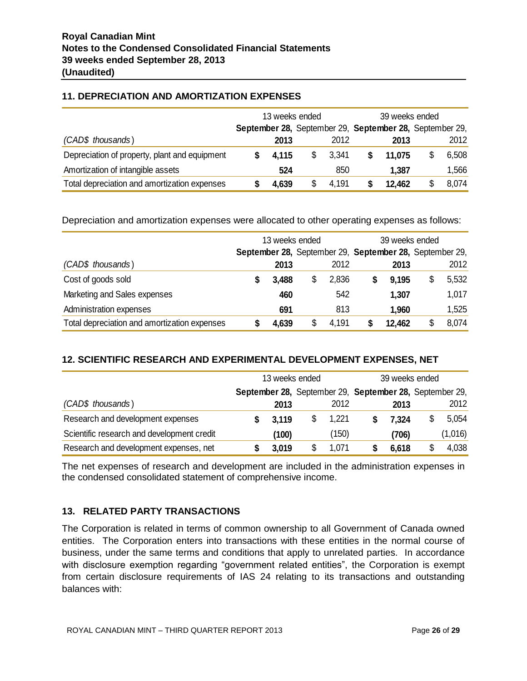# **11. DEPRECIATION AND AMORTIZATION EXPENSES**

|                                               | 13 weeks ended |       |    | 39 weeks ended |  |                                                         |  |       |
|-----------------------------------------------|----------------|-------|----|----------------|--|---------------------------------------------------------|--|-------|
|                                               |                |       |    |                |  | September 28, September 29, September 28, September 29, |  |       |
| (CAD\$ thousands)                             |                | 2013  |    | 2012           |  | 2013                                                    |  | 2012  |
| Depreciation of property, plant and equipment |                | 4.115 | \$ | 3,341          |  | 11.075                                                  |  | 6,508 |
| Amortization of intangible assets             |                | 524   |    | 850            |  | 1,387                                                   |  | 1,566 |
| Total depreciation and amortization expenses  |                | 4,639 | \$ | 4,191          |  | 12,462                                                  |  | 8,074 |

Depreciation and amortization expenses were allocated to other operating expenses as follows:

|                                              | 13 weeks ended |       | 39 weeks ended |  |                                                         |    |       |
|----------------------------------------------|----------------|-------|----------------|--|---------------------------------------------------------|----|-------|
|                                              |                |       |                |  | September 28, September 29, September 28, September 29, |    |       |
| (CAD\$ thousands)                            |                | 2013  | 2012           |  | 2013                                                    |    | 2012  |
| Cost of goods sold                           |                | 3,488 | \$<br>2,836    |  | 9,195                                                   | \$ | 5,532 |
| Marketing and Sales expenses                 |                | 460   | 542            |  | 1,307                                                   |    | 1,017 |
| Administration expenses                      |                | 691   | 813            |  | 1,960                                                   |    | 1,525 |
| Total depreciation and amortization expenses |                | 4,639 | \$<br>4,191    |  | 12,462                                                  | \$ | 8,074 |

# **12. SCIENTIFIC RESEARCH AND EXPERIMENTAL DEVELOPMENT EXPENSES, NET**

|                                            | 13 weeks ended                                          |       |    | 39 weeks ended |  |       |    |         |
|--------------------------------------------|---------------------------------------------------------|-------|----|----------------|--|-------|----|---------|
|                                            | September 28, September 29, September 28, September 29, |       |    |                |  |       |    |         |
| (CAD\$ thousands)                          |                                                         | 2013  |    | 2012           |  | 2013  |    | 2012    |
| Research and development expenses          |                                                         | 3,119 | \$ | 1,221          |  | 7.324 |    | 5,054   |
| Scientific research and development credit |                                                         | (100) |    | (150)          |  | (706) |    | (1,016) |
| Research and development expenses, net     |                                                         | 3,019 |    | 1,071          |  | 6,618 | \$ | 4,038   |

The net expenses of research and development are included in the administration expenses in the condensed consolidated statement of comprehensive income.

# **13. RELATED PARTY TRANSACTIONS**

The Corporation is related in terms of common ownership to all Government of Canada owned entities. The Corporation enters into transactions with these entities in the normal course of business, under the same terms and conditions that apply to unrelated parties. In accordance with disclosure exemption regarding "government related entities", the Corporation is exempt from certain disclosure requirements of IAS 24 relating to its transactions and outstanding balances with: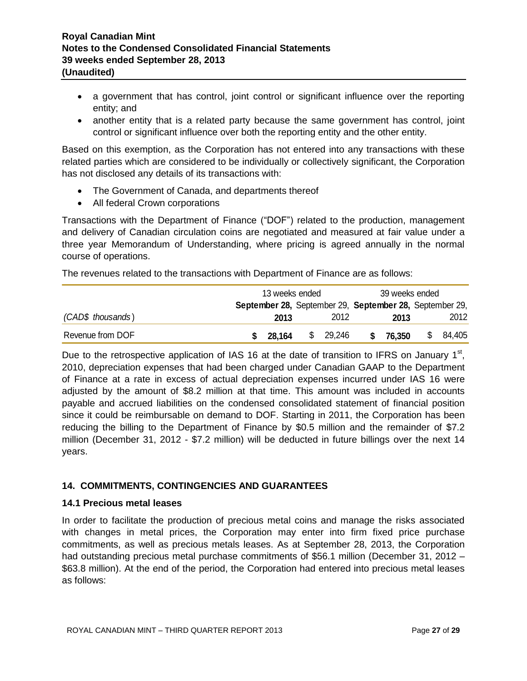- a government that has control, joint control or significant influence over the reporting entity; and
- another entity that is a related party because the same government has control, joint control or significant influence over both the reporting entity and the other entity.

Based on this exemption, as the Corporation has not entered into any transactions with these related parties which are considered to be individually or collectively significant, the Corporation has not disclosed any details of its transactions with:

- The Government of Canada, and departments thereof
- All federal Crown corporations

Transactions with the Department of Finance ("DOF") related to the production, management and delivery of Canadian circulation coins are negotiated and measured at fair value under a three year Memorandum of Understanding, where pricing is agreed annually in the normal course of operations.

The revenues related to the transactions with Department of Finance are as follows:

|                   | 13 weeks ended                                          |          | 39 weeks ended |              |  |
|-------------------|---------------------------------------------------------|----------|----------------|--------------|--|
|                   | September 28, September 29, September 28, September 29, |          |                |              |  |
| (CAD\$ thousands) | 2013                                                    | 2012     | 2013           | 2012         |  |
| Revenue from DOF  | 28,164                                                  | \$29,246 | 76,350<br>S.   | 84,405<br>S. |  |

Due to the retrospective application of IAS 16 at the date of transition to IFRS on January 1<sup>st</sup>, 2010, depreciation expenses that had been charged under Canadian GAAP to the Department of Finance at a rate in excess of actual depreciation expenses incurred under IAS 16 were adjusted by the amount of \$8.2 million at that time. This amount was included in accounts payable and accrued liabilities on the condensed consolidated statement of financial position since it could be reimbursable on demand to DOF. Starting in 2011, the Corporation has been reducing the billing to the Department of Finance by \$0.5 million and the remainder of \$7.2 million (December 31, 2012 - \$7.2 million) will be deducted in future billings over the next 14 years.

# **14. COMMITMENTS, CONTINGENCIES AND GUARANTEES**

#### **14.1 Precious metal leases**

In order to facilitate the production of precious metal coins and manage the risks associated with changes in metal prices, the Corporation may enter into firm fixed price purchase commitments, as well as precious metals leases. As at September 28, 2013, the Corporation had outstanding precious metal purchase commitments of \$56.1 million (December 31, 2012 – \$63.8 million). At the end of the period, the Corporation had entered into precious metal leases as follows: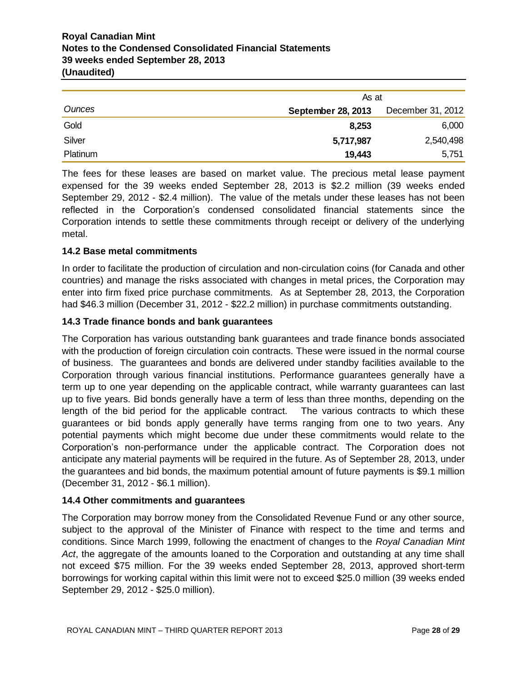# **Royal Canadian Mint Notes to the Condensed Consolidated Financial Statements 39 weeks ended September 28, 2013 (Unaudited)**

|          | As at              |                   |
|----------|--------------------|-------------------|
| Ounces   | September 28, 2013 | December 31, 2012 |
| Gold     | 8,253              | 6,000             |
| Silver   | 5,717,987          | 2,540,498         |
| Platinum | 19,443             | 5,751             |

The fees for these leases are based on market value. The precious metal lease payment expensed for the 39 weeks ended September 28, 2013 is \$2.2 million (39 weeks ended September 29, 2012 - \$2.4 million). The value of the metals under these leases has not been reflected in the Corporation's condensed consolidated financial statements since the Corporation intends to settle these commitments through receipt or delivery of the underlying metal.

# **14.2 Base metal commitments**

In order to facilitate the production of circulation and non-circulation coins (for Canada and other countries) and manage the risks associated with changes in metal prices, the Corporation may enter into firm fixed price purchase commitments. As at September 28, 2013, the Corporation had \$46.3 million (December 31, 2012 - \$22.2 million) in purchase commitments outstanding.

# **14.3 Trade finance bonds and bank guarantees**

Onces<br>
Godd<br>
Godd<br>
Godd<br>
Godd<br>
Show<br>
Canadian minimizarism and the state assess are based on market value. The precious metal lease payment<br>
The fees for these leases are based on market value. The precious metal lease pay The Corporation has various outstanding bank guarantees and trade finance bonds associated with the production of foreign circulation coin contracts. These were issued in the normal course of business. The guarantees and bonds are delivered under standby facilities available to the Corporation through various financial institutions. Performance guarantees generally have a term up to one year depending on the applicable contract, while warranty guarantees can last up to five years. Bid bonds generally have a term of less than three months, depending on the length of the bid period for the applicable contract. The various contracts to which these guarantees or bid bonds apply generally have terms ranging from one to two years. Any potential payments which might become due under these commitments would relate to the Corporation's non-performance under the applicable contract. The Corporation does not anticipate any material payments will be required in the future. As of September 28, 2013, under the guarantees and bid bonds, the maximum potential amount of future payments is \$9.1 million (December 31, 2012 - \$6.1 million).

# **14.4 Other commitments and guarantees**

The Corporation may borrow money from the Consolidated Revenue Fund or any other source, subject to the approval of the Minister of Finance with respect to the time and terms and conditions. Since March 1999, following the enactment of changes to the *Royal Canadian Mint Act*, the aggregate of the amounts loaned to the Corporation and outstanding at any time shall not exceed \$75 million. For the 39 weeks ended September 28, 2013, approved short-term borrowings for working capital within this limit were not to exceed \$25.0 million (39 weeks ended September 29, 2012 - \$25.0 million).